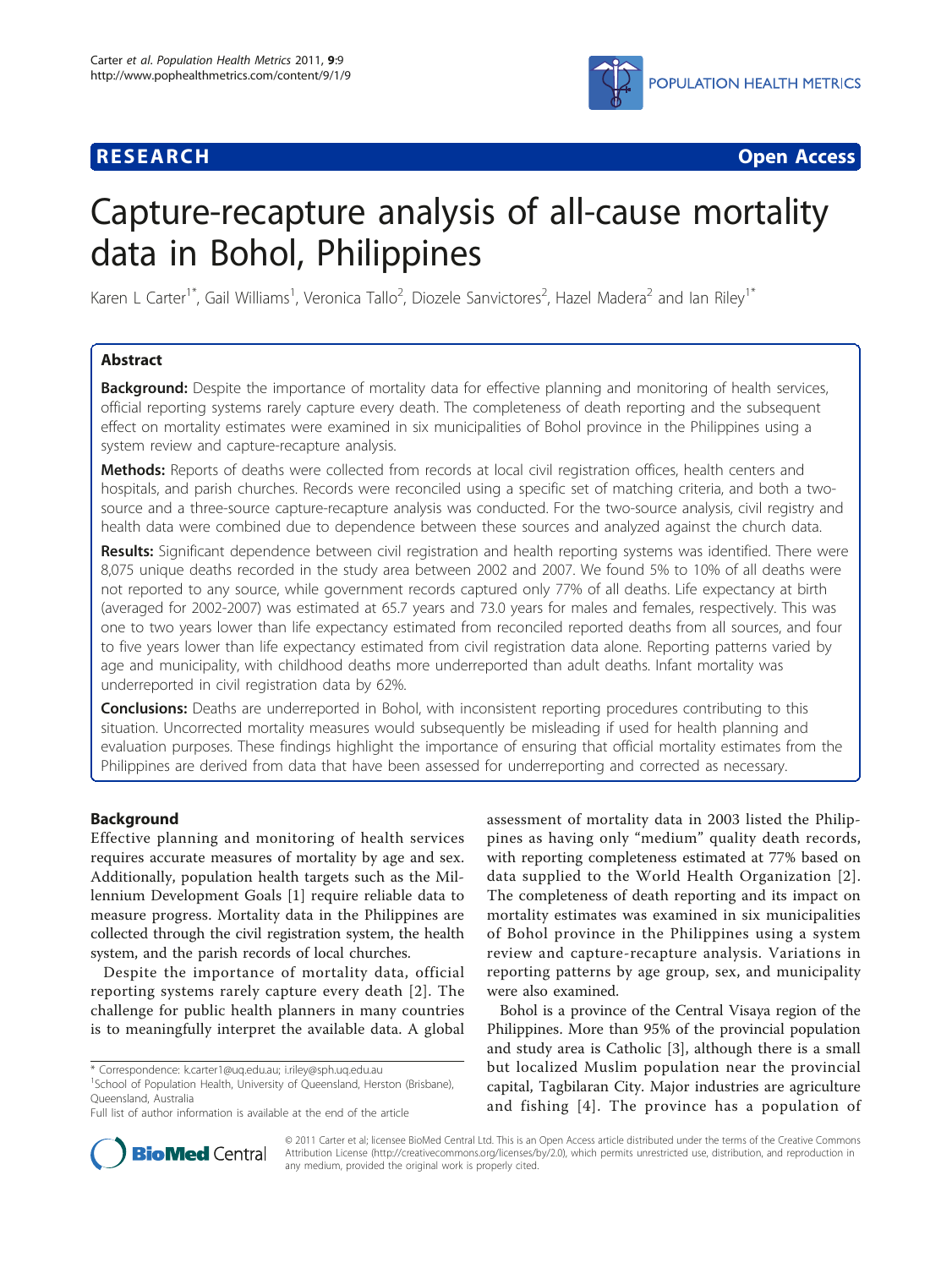

**RESEARCH CONSTRUCTION CONSTRUCTS** 

# Capture-recapture analysis of all-cause mortality data in Bohol, Philippines

Karen L Carter<sup>1\*</sup>, Gail Williams<sup>1</sup>, Veronica Tallo<sup>2</sup>, Diozele Sanvictores<sup>2</sup>, Hazel Madera<sup>2</sup> and Ian Riley<sup>1\*</sup>

# Abstract

Background: Despite the importance of mortality data for effective planning and monitoring of health services, official reporting systems rarely capture every death. The completeness of death reporting and the subsequent effect on mortality estimates were examined in six municipalities of Bohol province in the Philippines using a system review and capture-recapture analysis.

Methods: Reports of deaths were collected from records at local civil registration offices, health centers and hospitals, and parish churches. Records were reconciled using a specific set of matching criteria, and both a twosource and a three-source capture-recapture analysis was conducted. For the two-source analysis, civil registry and health data were combined due to dependence between these sources and analyzed against the church data.

Results: Significant dependence between civil registration and health reporting systems was identified. There were 8,075 unique deaths recorded in the study area between 2002 and 2007. We found 5% to 10% of all deaths were not reported to any source, while government records captured only 77% of all deaths. Life expectancy at birth (averaged for 2002-2007) was estimated at 65.7 years and 73.0 years for males and females, respectively. This was one to two years lower than life expectancy estimated from reconciled reported deaths from all sources, and four to five years lower than life expectancy estimated from civil registration data alone. Reporting patterns varied by age and municipality, with childhood deaths more underreported than adult deaths. Infant mortality was underreported in civil registration data by 62%.

Conclusions: Deaths are underreported in Bohol, with inconsistent reporting procedures contributing to this situation. Uncorrected mortality measures would subsequently be misleading if used for health planning and evaluation purposes. These findings highlight the importance of ensuring that official mortality estimates from the Philippines are derived from data that have been assessed for underreporting and corrected as necessary.

# Background

Effective planning and monitoring of health services requires accurate measures of mortality by age and sex. Additionally, population health targets such as the Millennium Development Goals [[1](#page-8-0)] require reliable data to measure progress. Mortality data in the Philippines are collected through the civil registration system, the health system, and the parish records of local churches.

Despite the importance of mortality data, official reporting systems rarely capture every death [[2](#page-8-0)]. The challenge for public health planners in many countries is to meaningfully interpret the available data. A global

<sup>1</sup>School of Population Health, University of Queensland, Herston (Brisbane), Queensland, Australia

assessment of mortality data in 2003 listed the Philippines as having only "medium" quality death records, with reporting completeness estimated at 77% based on data supplied to the World Health Organization [[2\]](#page-8-0). The completeness of death reporting and its impact on mortality estimates was examined in six municipalities of Bohol province in the Philippines using a system review and capture-recapture analysis. Variations in reporting patterns by age group, sex, and municipality were also examined.

Bohol is a province of the Central Visaya region of the Philippines. More than 95% of the provincial population and study area is Catholic [[3\]](#page-8-0), although there is a small but localized Muslim population near the provincial capital, Tagbilaran City. Major industries are agriculture and fishing [[4](#page-8-0)]. The province has a population of



© 2011 Carter et al; licensee BioMed Central Ltd. This is an Open Access article distributed under the terms of the Creative Commons Attribution License [\(http://creativecommons.org/licenses/by/2.0](http://creativecommons.org/licenses/by/2.0)), which permits unrestricted use, distribution, and reproduction in any medium, provided the original work is properly cited.

<sup>\*</sup> Correspondence: [k.carter1@uq.edu.au](mailto:k.carter1@uq.edu.au); [i.riley@sph.uq.edu.au](mailto:i.riley@sph.uq.edu.au)

Full list of author information is available at the end of the article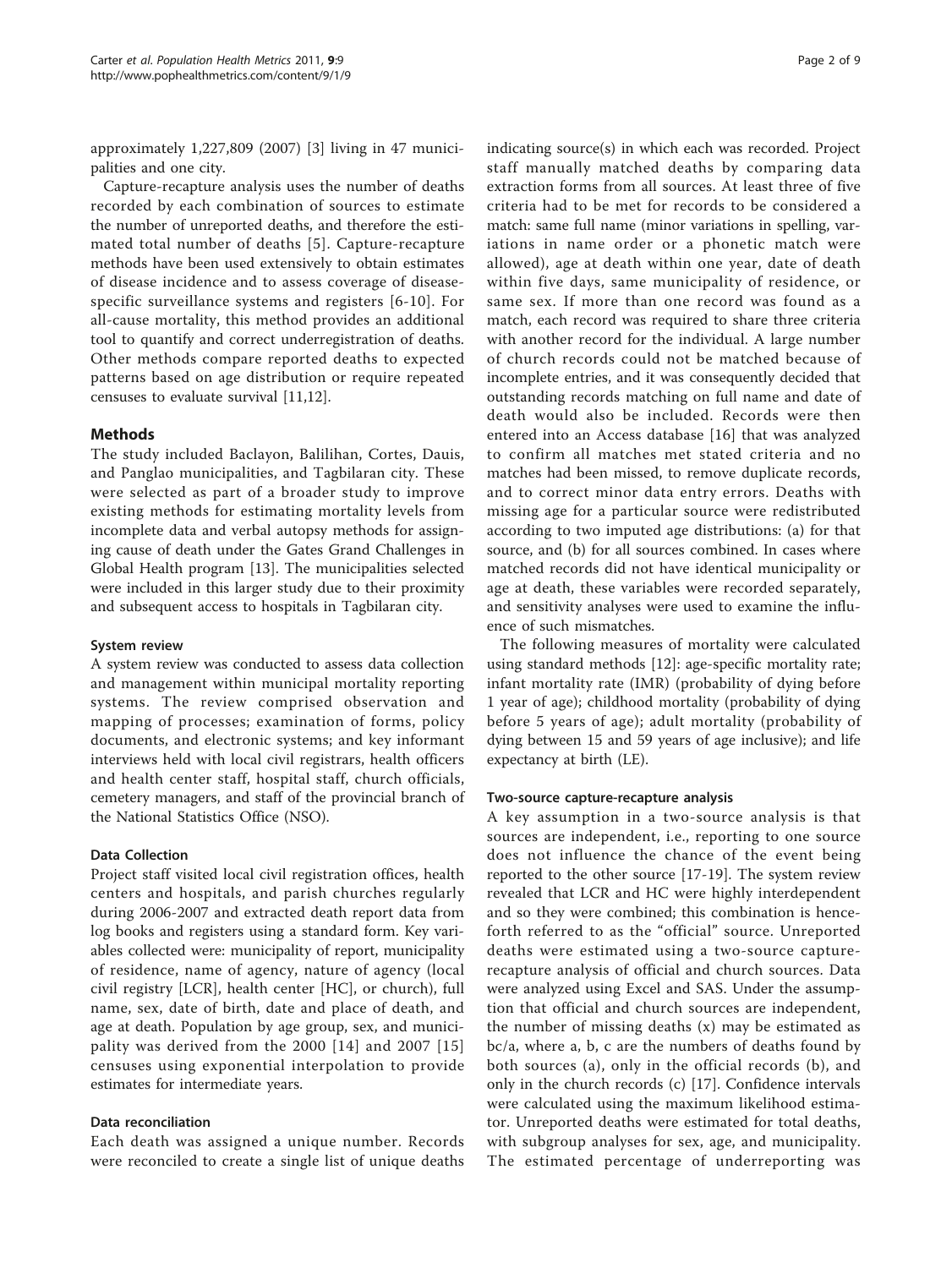approximately 1,227,809 (2007) [\[3](#page-8-0)] living in 47 municipalities and one city.

Capture-recapture analysis uses the number of deaths recorded by each combination of sources to estimate the number of unreported deaths, and therefore the estimated total number of deaths [[5](#page-8-0)]. Capture-recapture methods have been used extensively to obtain estimates of disease incidence and to assess coverage of diseasespecific surveillance systems and registers [\[6-10\]](#page-8-0). For all-cause mortality, this method provides an additional tool to quantify and correct underregistration of deaths. Other methods compare reported deaths to expected patterns based on age distribution or require repeated censuses to evaluate survival [\[11,12\]](#page-8-0).

# **Methods**

The study included Baclayon, Balilihan, Cortes, Dauis, and Panglao municipalities, and Tagbilaran city. These were selected as part of a broader study to improve existing methods for estimating mortality levels from incomplete data and verbal autopsy methods for assigning cause of death under the Gates Grand Challenges in Global Health program [\[13](#page-8-0)]. The municipalities selected were included in this larger study due to their proximity and subsequent access to hospitals in Tagbilaran city.

#### System review

A system review was conducted to assess data collection and management within municipal mortality reporting systems. The review comprised observation and mapping of processes; examination of forms, policy documents, and electronic systems; and key informant interviews held with local civil registrars, health officers and health center staff, hospital staff, church officials, cemetery managers, and staff of the provincial branch of the National Statistics Office (NSO).

#### Data Collection

Project staff visited local civil registration offices, health centers and hospitals, and parish churches regularly during 2006-2007 and extracted death report data from log books and registers using a standard form. Key variables collected were: municipality of report, municipality of residence, name of agency, nature of agency (local civil registry [LCR], health center [HC], or church), full name, sex, date of birth, date and place of death, and age at death. Population by age group, sex, and municipality was derived from the 2000 [[14\]](#page-8-0) and 2007 [[15](#page-8-0)] censuses using exponential interpolation to provide estimates for intermediate years.

#### Data reconciliation

Each death was assigned a unique number. Records were reconciled to create a single list of unique deaths indicating source(s) in which each was recorded. Project staff manually matched deaths by comparing data extraction forms from all sources. At least three of five criteria had to be met for records to be considered a match: same full name (minor variations in spelling, variations in name order or a phonetic match were allowed), age at death within one year, date of death within five days, same municipality of residence, or same sex. If more than one record was found as a match, each record was required to share three criteria with another record for the individual. A large number of church records could not be matched because of incomplete entries, and it was consequently decided that outstanding records matching on full name and date of death would also be included. Records were then entered into an Access database [\[16](#page-8-0)] that was analyzed to confirm all matches met stated criteria and no matches had been missed, to remove duplicate records, and to correct minor data entry errors. Deaths with missing age for a particular source were redistributed according to two imputed age distributions: (a) for that source, and (b) for all sources combined. In cases where matched records did not have identical municipality or age at death, these variables were recorded separately, and sensitivity analyses were used to examine the influence of such mismatches.

The following measures of mortality were calculated using standard methods [[12](#page-8-0)]: age-specific mortality rate; infant mortality rate (IMR) (probability of dying before 1 year of age); childhood mortality (probability of dying before 5 years of age); adult mortality (probability of dying between 15 and 59 years of age inclusive); and life expectancy at birth (LE).

#### Two-source capture-recapture analysis

A key assumption in a two-source analysis is that sources are independent, i.e., reporting to one source does not influence the chance of the event being reported to the other source [\[17](#page-8-0)-[19\]](#page-8-0). The system review revealed that LCR and HC were highly interdependent and so they were combined; this combination is henceforth referred to as the "official" source. Unreported deaths were estimated using a two-source capturerecapture analysis of official and church sources. Data were analyzed using Excel and SAS. Under the assumption that official and church sources are independent, the number of missing deaths (x) may be estimated as bc/a, where a, b, c are the numbers of deaths found by both sources (a), only in the official records (b), and only in the church records (c) [[17\]](#page-8-0). Confidence intervals were calculated using the maximum likelihood estimator. Unreported deaths were estimated for total deaths, with subgroup analyses for sex, age, and municipality. The estimated percentage of underreporting was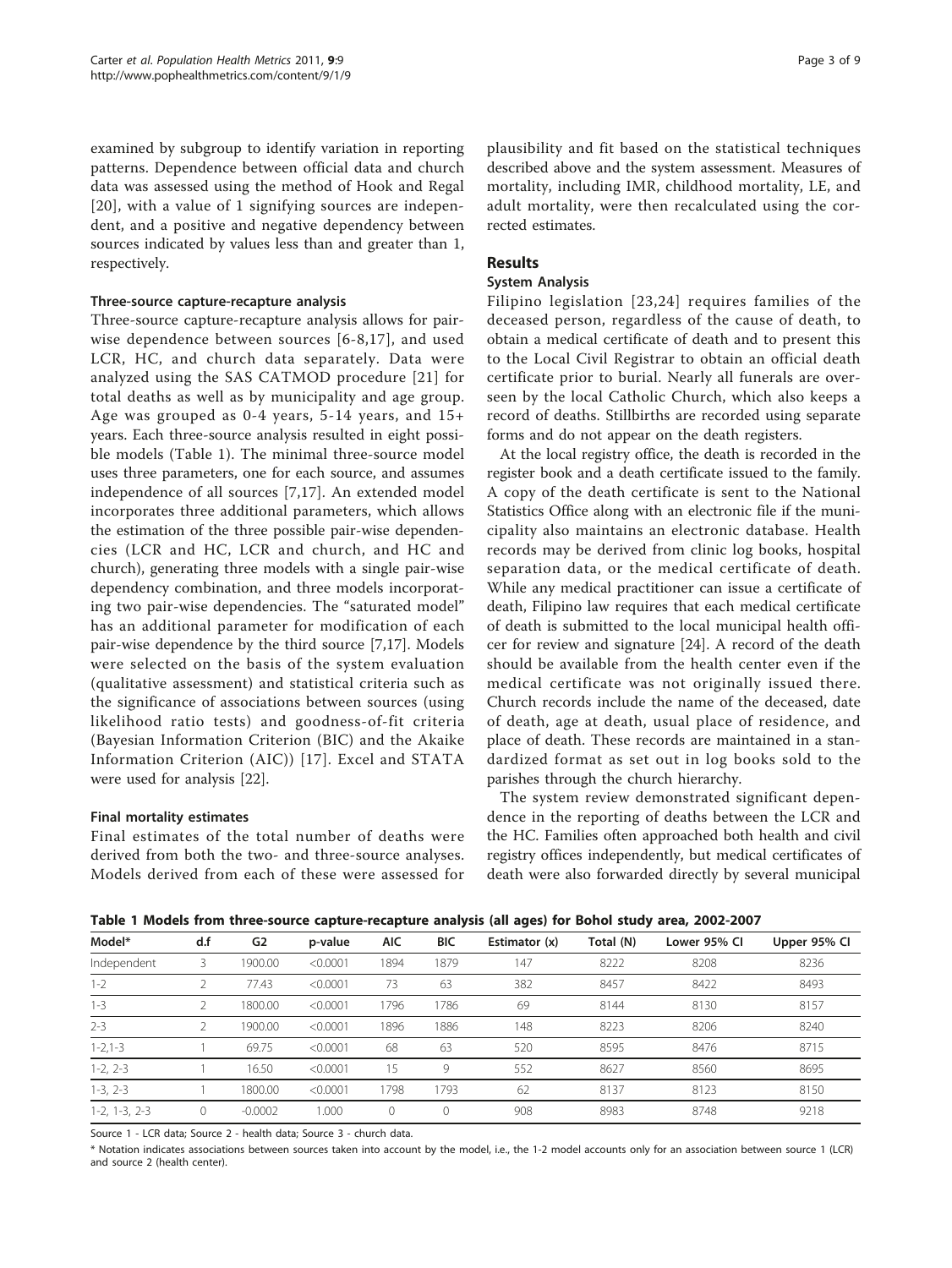<span id="page-2-0"></span>examined by subgroup to identify variation in reporting patterns. Dependence between official data and church data was assessed using the method of Hook and Regal [[20](#page-8-0)], with a value of 1 signifying sources are independent, and a positive and negative dependency between sources indicated by values less than and greater than 1, respectively.

#### Three-source capture-recapture analysis

Three-source capture-recapture analysis allows for pairwise dependence between sources [[6](#page-8-0)-[8,17\]](#page-8-0), and used LCR, HC, and church data separately. Data were analyzed using the SAS CATMOD procedure [[21\]](#page-8-0) for total deaths as well as by municipality and age group. Age was grouped as 0-4 years, 5-14 years, and 15+ years. Each three-source analysis resulted in eight possible models (Table 1). The minimal three-source model uses three parameters, one for each source, and assumes independence of all sources [[7,17](#page-8-0)]. An extended model incorporates three additional parameters, which allows the estimation of the three possible pair-wise dependencies (LCR and HC, LCR and church, and HC and church), generating three models with a single pair-wise dependency combination, and three models incorporating two pair-wise dependencies. The "saturated model" has an additional parameter for modification of each pair-wise dependence by the third source [[7,17\]](#page-8-0). Models were selected on the basis of the system evaluation (qualitative assessment) and statistical criteria such as the significance of associations between sources (using likelihood ratio tests) and goodness-of-fit criteria (Bayesian Information Criterion (BIC) and the Akaike Information Criterion (AIC)) [\[17\]](#page-8-0). Excel and STATA were used for analysis [\[22](#page-8-0)].

# Final mortality estimates

Final estimates of the total number of deaths were derived from both the two- and three-source analyses. Models derived from each of these were assessed for

plausibility and fit based on the statistical techniques described above and the system assessment. Measures of mortality, including IMR, childhood mortality, LE, and adult mortality, were then recalculated using the corrected estimates.

# Results

#### System Analysis

Filipino legislation [\[23](#page-8-0),[24\]](#page-8-0) requires families of the deceased person, regardless of the cause of death, to obtain a medical certificate of death and to present this to the Local Civil Registrar to obtain an official death certificate prior to burial. Nearly all funerals are overseen by the local Catholic Church, which also keeps a record of deaths. Stillbirths are recorded using separate forms and do not appear on the death registers.

At the local registry office, the death is recorded in the register book and a death certificate issued to the family. A copy of the death certificate is sent to the National Statistics Office along with an electronic file if the municipality also maintains an electronic database. Health records may be derived from clinic log books, hospital separation data, or the medical certificate of death. While any medical practitioner can issue a certificate of death, Filipino law requires that each medical certificate of death is submitted to the local municipal health officer for review and signature [[24\]](#page-8-0). A record of the death should be available from the health center even if the medical certificate was not originally issued there. Church records include the name of the deceased, date of death, age at death, usual place of residence, and place of death. These records are maintained in a standardized format as set out in log books sold to the parishes through the church hierarchy.

The system review demonstrated significant dependence in the reporting of deaths between the LCR and the HC. Families often approached both health and civil registry offices independently, but medical certificates of death were also forwarded directly by several municipal

Table 1 Models from three-source capture-recapture analysis (all ages) for Bohol study area, 2002-2007

| Model*          | d.f | G <sub>2</sub> | p-value  | <b>AIC</b> | <b>BIC</b> | Estimator (x) | Total (N) | Lower 95% CI | Upper 95% Cl |
|-----------------|-----|----------------|----------|------------|------------|---------------|-----------|--------------|--------------|
| Independent     |     | 1900.00        | < 0.0001 | 1894       | 1879       | 147           | 8222      | 8208         | 8236         |
| $1 - 2$         |     | 77.43          | < 0.0001 | 73         | 63         | 382           | 8457      | 8422         | 8493         |
| $1 - 3$         |     | 1800.00        | < 0.0001 | 1796       | 1786       | 69            | 8144      | 8130         | 8157         |
| $2 - 3$         |     | 1900.00        | < 0.0001 | 1896       | 1886       | 148           | 8223      | 8206         | 8240         |
| $1 - 2, 1 - 3$  |     | 69.75          | < 0.0001 | 68         | 63         | 520           | 8595      | 8476         | 8715         |
| $1-2, 2-3$      |     | 16.50          | < 0.0001 | 15         | 9          | 552           | 8627      | 8560         | 8695         |
| $1-3, 2-3$      |     | 1800.00        | < 0.0001 | 798        | 1793       | 62            | 8137      | 8123         | 8150         |
| $1-2, 1-3, 2-3$ | 0   | $-0.0002$      | .000     | 0          | 0          | 908           | 8983      | 8748         | 9218         |

Source 1 - LCR data; Source 2 - health data; Source 3 - church data.

\* Notation indicates associations between sources taken into account by the model, i.e., the 1-2 model accounts only for an association between source 1 (LCR) and source 2 (health center).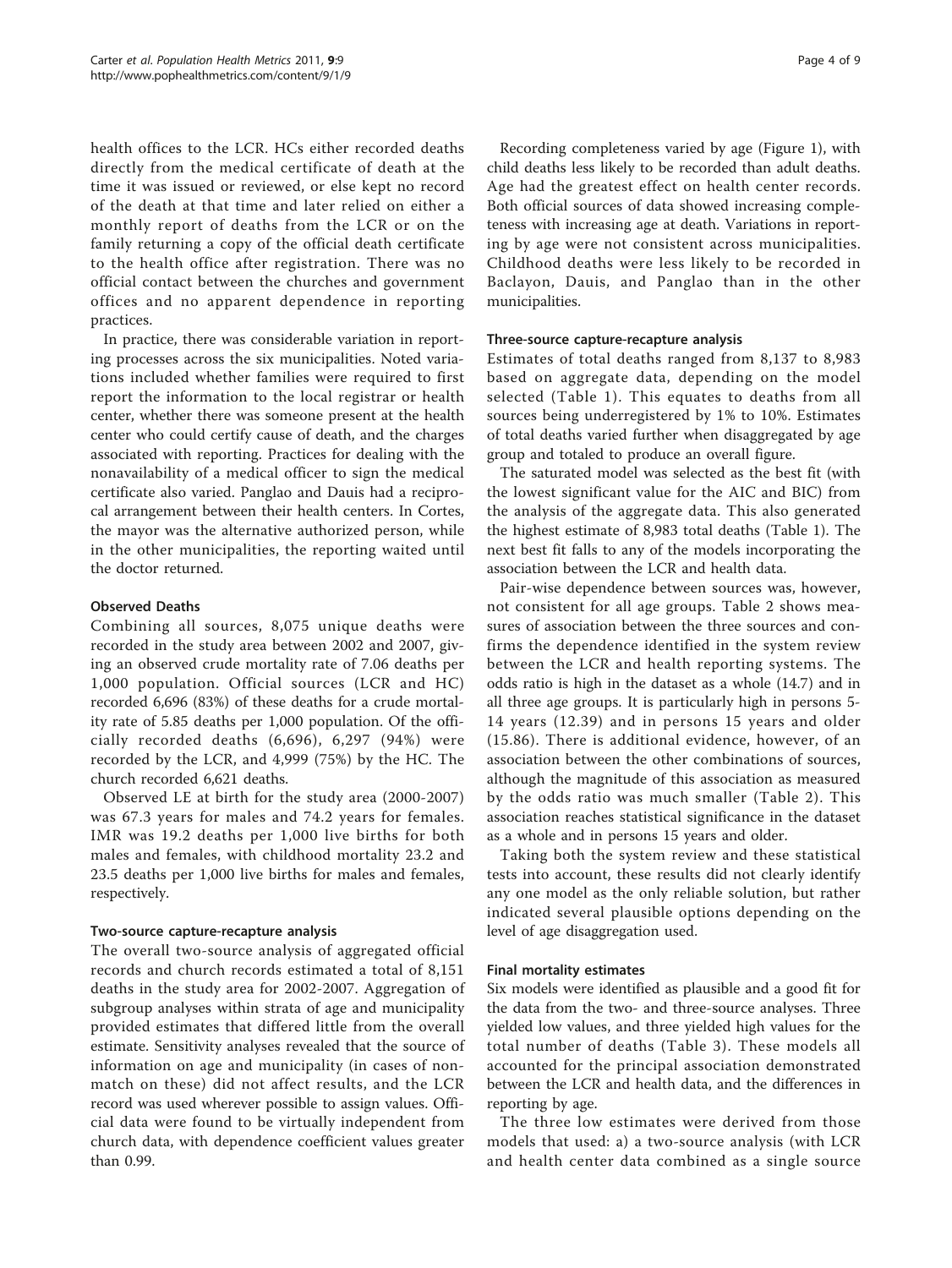health offices to the LCR. HCs either recorded deaths directly from the medical certificate of death at the time it was issued or reviewed, or else kept no record of the death at that time and later relied on either a monthly report of deaths from the LCR or on the family returning a copy of the official death certificate to the health office after registration. There was no official contact between the churches and government offices and no apparent dependence in reporting practices.

In practice, there was considerable variation in reporting processes across the six municipalities. Noted variations included whether families were required to first report the information to the local registrar or health center, whether there was someone present at the health center who could certify cause of death, and the charges associated with reporting. Practices for dealing with the nonavailability of a medical officer to sign the medical certificate also varied. Panglao and Dauis had a reciprocal arrangement between their health centers. In Cortes, the mayor was the alternative authorized person, while in the other municipalities, the reporting waited until the doctor returned.

# Observed Deaths

Combining all sources, 8,075 unique deaths were recorded in the study area between 2002 and 2007, giving an observed crude mortality rate of 7.06 deaths per 1,000 population. Official sources (LCR and HC) recorded 6,696 (83%) of these deaths for a crude mortality rate of 5.85 deaths per 1,000 population. Of the officially recorded deaths (6,696), 6,297 (94%) were recorded by the LCR, and 4,999 (75%) by the HC. The church recorded 6,621 deaths.

Observed LE at birth for the study area (2000-2007) was 67.3 years for males and 74.2 years for females. IMR was 19.2 deaths per 1,000 live births for both males and females, with childhood mortality 23.2 and 23.5 deaths per 1,000 live births for males and females, respectively.

# Two-source capture-recapture analysis

The overall two-source analysis of aggregated official records and church records estimated a total of 8,151 deaths in the study area for 2002-2007. Aggregation of subgroup analyses within strata of age and municipality provided estimates that differed little from the overall estimate. Sensitivity analyses revealed that the source of information on age and municipality (in cases of nonmatch on these) did not affect results, and the LCR record was used wherever possible to assign values. Official data were found to be virtually independent from church data, with dependence coefficient values greater than 0.99.

Recording completeness varied by age (Figure [1\)](#page-4-0), with child deaths less likely to be recorded than adult deaths. Age had the greatest effect on health center records. Both official sources of data showed increasing completeness with increasing age at death. Variations in reporting by age were not consistent across municipalities. Childhood deaths were less likely to be recorded in Baclayon, Dauis, and Panglao than in the other municipalities.

# Three-source capture-recapture analysis

Estimates of total deaths ranged from 8,137 to 8,983 based on aggregate data, depending on the model selected (Table [1](#page-2-0)). This equates to deaths from all sources being underregistered by 1% to 10%. Estimates of total deaths varied further when disaggregated by age group and totaled to produce an overall figure.

The saturated model was selected as the best fit (with the lowest significant value for the AIC and BIC) from the analysis of the aggregate data. This also generated the highest estimate of 8,983 total deaths (Table [1\)](#page-2-0). The next best fit falls to any of the models incorporating the association between the LCR and health data.

Pair-wise dependence between sources was, however, not consistent for all age groups. Table [2](#page-4-0) shows measures of association between the three sources and confirms the dependence identified in the system review between the LCR and health reporting systems. The odds ratio is high in the dataset as a whole (14.7) and in all three age groups. It is particularly high in persons 5- 14 years (12.39) and in persons 15 years and older (15.86). There is additional evidence, however, of an association between the other combinations of sources, although the magnitude of this association as measured by the odds ratio was much smaller (Table [2](#page-4-0)). This association reaches statistical significance in the dataset as a whole and in persons 15 years and older.

Taking both the system review and these statistical tests into account, these results did not clearly identify any one model as the only reliable solution, but rather indicated several plausible options depending on the level of age disaggregation used.

# Final mortality estimates

Six models were identified as plausible and a good fit for the data from the two- and three-source analyses. Three yielded low values, and three yielded high values for the total number of deaths (Table [3\)](#page-5-0). These models all accounted for the principal association demonstrated between the LCR and health data, and the differences in reporting by age.

The three low estimates were derived from those models that used: a) a two-source analysis (with LCR and health center data combined as a single source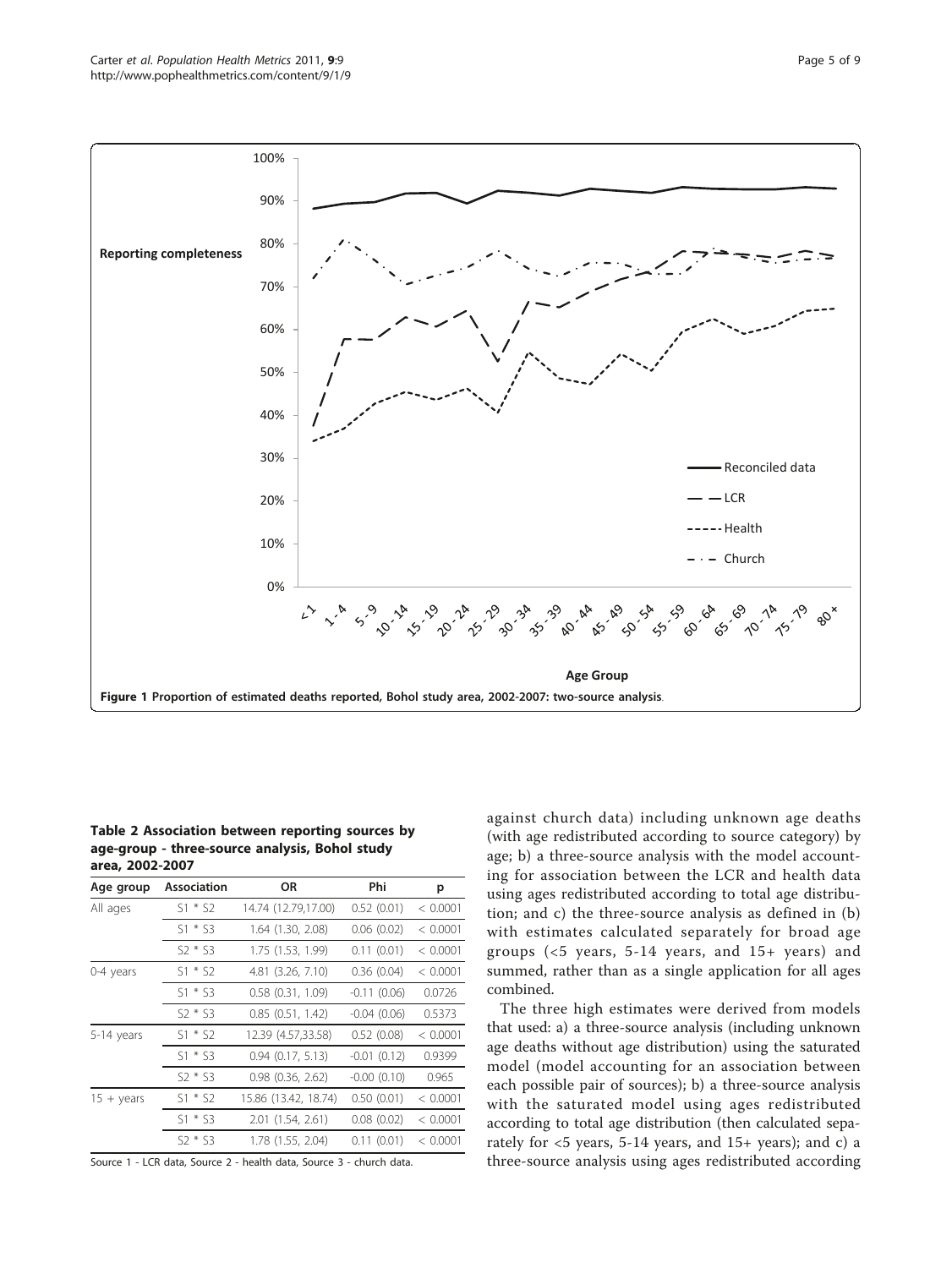<span id="page-4-0"></span>

Table 2 Association between reporting sources by age-group - three-source analysis, Bohol study area, 2002-2007

| <b>Association</b> | ΟR                    | Phi              | р        |
|--------------------|-----------------------|------------------|----------|
| $S1 * S2$          | 14.74 (12.79,17.00)   | 0.52(0.01)       | < 0.0001 |
| $S1 * S3$          | $1.64$ $(1.30, 2.08)$ | 0.06(0.02)       | < 0.0001 |
| $S2 * S3$          | 1.75 (1.53, 1.99)     | 0.11(0.01)       | < 0.0001 |
| $S1 * S2$          | 4.81 (3.26, 7.10)     | 0.36(0.04)       | < 0.0001 |
| $S1 * S3$          | $0.58$ $(0.31, 1.09)$ | $-0.11(0.06)$    | 0.0726   |
| $52 * 53$          | $0.85$ $(0.51, 1.42)$ | $-0.04(0.06)$    | 0.5373   |
| $S1 * S2$          | 12.39 (4.57,33.58)    | 0.52(0.08)       | < 0.0001 |
| $S1 * S3$          | $0.94$ $(0.17, 5.13)$ | $-0.01(0.12)$    | 0.9399   |
| $S2 * S3$          | $0.98$ $(0.36, 2.62)$ | $-0.00$ $(0.10)$ | 0.965    |
| $S1 * S2$          | 15.86 (13.42, 18.74)  | 0.50(0.01)       | < 0.0001 |
| $S1 * S3$          | 2.01 (1.54, 2.61)     | 0.08(0.02)       | < 0.0001 |
| $S2 * S3$          | 1.78 (1.55, 2.04)     | 0.11(0.01)       | < 0.0001 |
|                    |                       |                  |          |

Source 1 - LCR data, Source 2 - health data, Source 3 - church data.

against church data) including unknown age deaths (with age redistributed according to source category) by age; b) a three-source analysis with the model accounting for association between the LCR and health data using ages redistributed according to total age distribution; and c) the three-source analysis as defined in (b) with estimates calculated separately for broad age groups (<5 years, 5-14 years, and 15+ years) and summed, rather than as a single application for all ages combined.

The three high estimates were derived from models that used: a) a three-source analysis (including unknown age deaths without age distribution) using the saturated model (model accounting for an association between each possible pair of sources); b) a three-source analysis with the saturated model using ages redistributed according to total age distribution (then calculated separately for <5 years, 5-14 years, and 15+ years); and c) a three-source analysis using ages redistributed according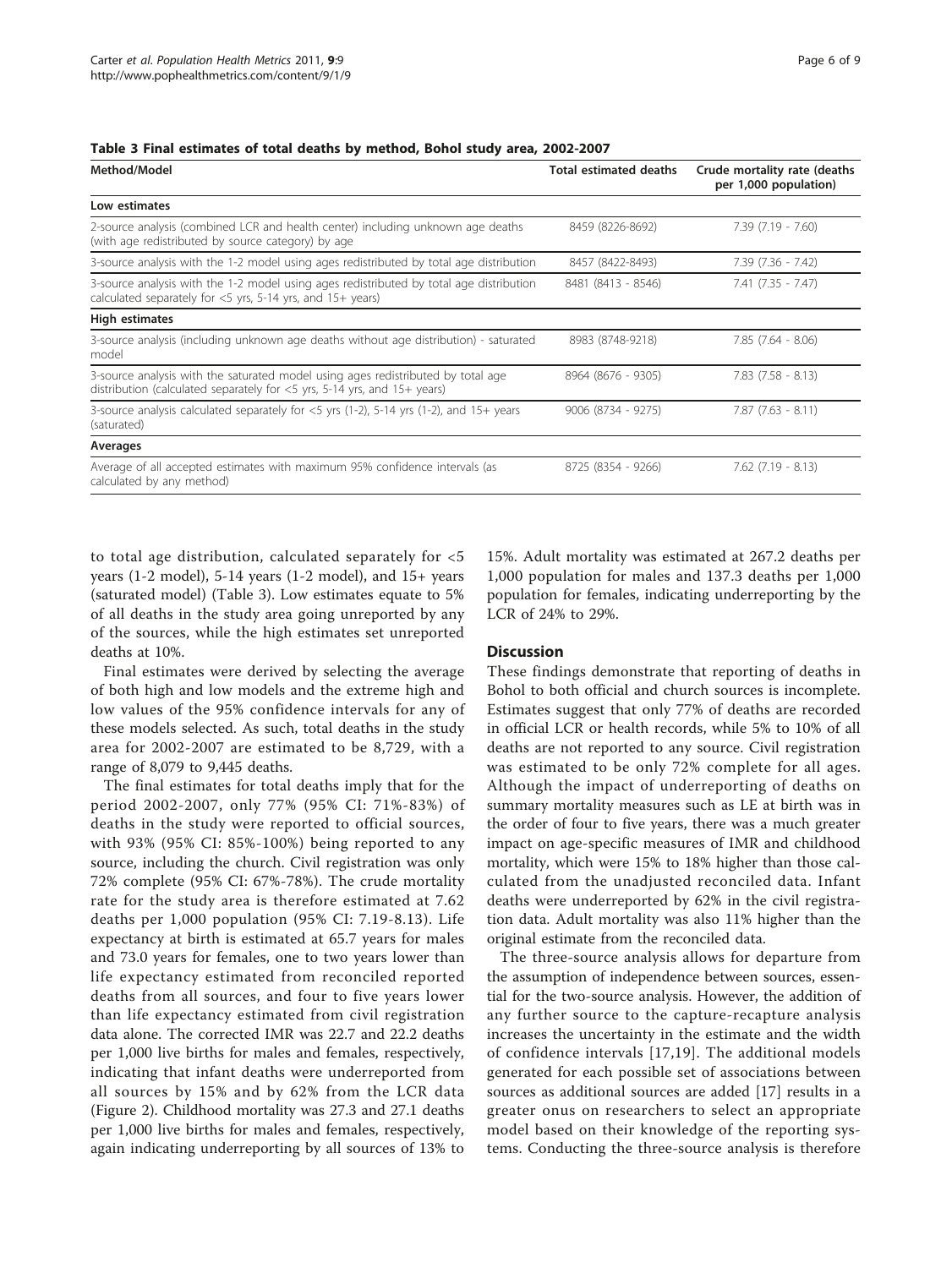<span id="page-5-0"></span>

|  | Table 3 Final estimates of total deaths by method, Bohol study area, 2002-2007 |  |  |  |  |  |  |  |
|--|--------------------------------------------------------------------------------|--|--|--|--|--|--|--|
|--|--------------------------------------------------------------------------------|--|--|--|--|--|--|--|

| Method/Model                                                                                                                                                    | <b>Total estimated deaths</b> | Crude mortality rate (deaths<br>per 1,000 population) |
|-----------------------------------------------------------------------------------------------------------------------------------------------------------------|-------------------------------|-------------------------------------------------------|
| Low estimates                                                                                                                                                   |                               |                                                       |
| 2-source analysis (combined LCR and health center) including unknown age deaths<br>(with age redistributed by source category) by age                           | 8459 (8226-8692)              | $7.39(7.19 - 7.60)$                                   |
| 3-source analysis with the 1-2 model using ages redistributed by total age distribution                                                                         | 8457 (8422-8493)              | $7.39(7.36 - 7.42)$                                   |
| 3-source analysis with the 1-2 model using ages redistributed by total age distribution<br>calculated separately for $<$ 5 yrs, 5-14 yrs, and 15+ years)        | 8481 (8413 - 8546)            | $7.41(7.35 - 7.47)$                                   |
| High estimates                                                                                                                                                  |                               |                                                       |
| 3-source analysis (including unknown age deaths without age distribution) - saturated<br>model                                                                  | 8983 (8748-9218)              | $7.85$ $(7.64 - 8.06)$                                |
| 3-source analysis with the saturated model using ages redistributed by total age<br>distribution (calculated separately for $<$ 5 yrs, 5-14 yrs, and 15+ years) | 8964 (8676 - 9305)            | $7.83$ $(7.58 - 8.13)$                                |
| 3-source analysis calculated separately for $<$ 5yrs (1-2), 5-14 yrs (1-2), and 15+ years<br>(saturated)                                                        | 9006 (8734 - 9275)            | $7.87$ $(7.63 - 8.11)$                                |
| Averages                                                                                                                                                        |                               |                                                       |
| Average of all accepted estimates with maximum 95% confidence intervals (as<br>calculated by any method)                                                        | 8725 (8354 - 9266)            | $7.62$ $(7.19 - 8.13)$                                |

to total age distribution, calculated separately for <5 years (1-2 model), 5-14 years (1-2 model), and 15+ years (saturated model) (Table 3). Low estimates equate to 5% of all deaths in the study area going unreported by any of the sources, while the high estimates set unreported deaths at 10%.

Final estimates were derived by selecting the average of both high and low models and the extreme high and low values of the 95% confidence intervals for any of these models selected. As such, total deaths in the study area for 2002-2007 are estimated to be 8,729, with a range of 8,079 to 9,445 deaths.

The final estimates for total deaths imply that for the period 2002-2007, only 77% (95% CI: 71%-83%) of deaths in the study were reported to official sources, with 93% (95% CI: 85%-100%) being reported to any source, including the church. Civil registration was only 72% complete (95% CI: 67%-78%). The crude mortality rate for the study area is therefore estimated at 7.62 deaths per 1,000 population (95% CI: 7.19-8.13). Life expectancy at birth is estimated at 65.7 years for males and 73.0 years for females, one to two years lower than life expectancy estimated from reconciled reported deaths from all sources, and four to five years lower than life expectancy estimated from civil registration data alone. The corrected IMR was 22.7 and 22.2 deaths per 1,000 live births for males and females, respectively, indicating that infant deaths were underreported from all sources by 15% and by 62% from the LCR data (Figure [2\)](#page-6-0). Childhood mortality was 27.3 and 27.1 deaths per 1,000 live births for males and females, respectively, again indicating underreporting by all sources of 13% to

15%. Adult mortality was estimated at 267.2 deaths per 1,000 population for males and 137.3 deaths per 1,000 population for females, indicating underreporting by the LCR of 24% to 29%.

# **Discussion**

These findings demonstrate that reporting of deaths in Bohol to both official and church sources is incomplete. Estimates suggest that only 77% of deaths are recorded in official LCR or health records, while 5% to 10% of all deaths are not reported to any source. Civil registration was estimated to be only 72% complete for all ages. Although the impact of underreporting of deaths on summary mortality measures such as LE at birth was in the order of four to five years, there was a much greater impact on age-specific measures of IMR and childhood mortality, which were 15% to 18% higher than those calculated from the unadjusted reconciled data. Infant deaths were underreported by 62% in the civil registration data. Adult mortality was also 11% higher than the original estimate from the reconciled data.

The three-source analysis allows for departure from the assumption of independence between sources, essential for the two-source analysis. However, the addition of any further source to the capture-recapture analysis increases the uncertainty in the estimate and the width of confidence intervals [[17,19](#page-8-0)]. The additional models generated for each possible set of associations between sources as additional sources are added [[17\]](#page-8-0) results in a greater onus on researchers to select an appropriate model based on their knowledge of the reporting systems. Conducting the three-source analysis is therefore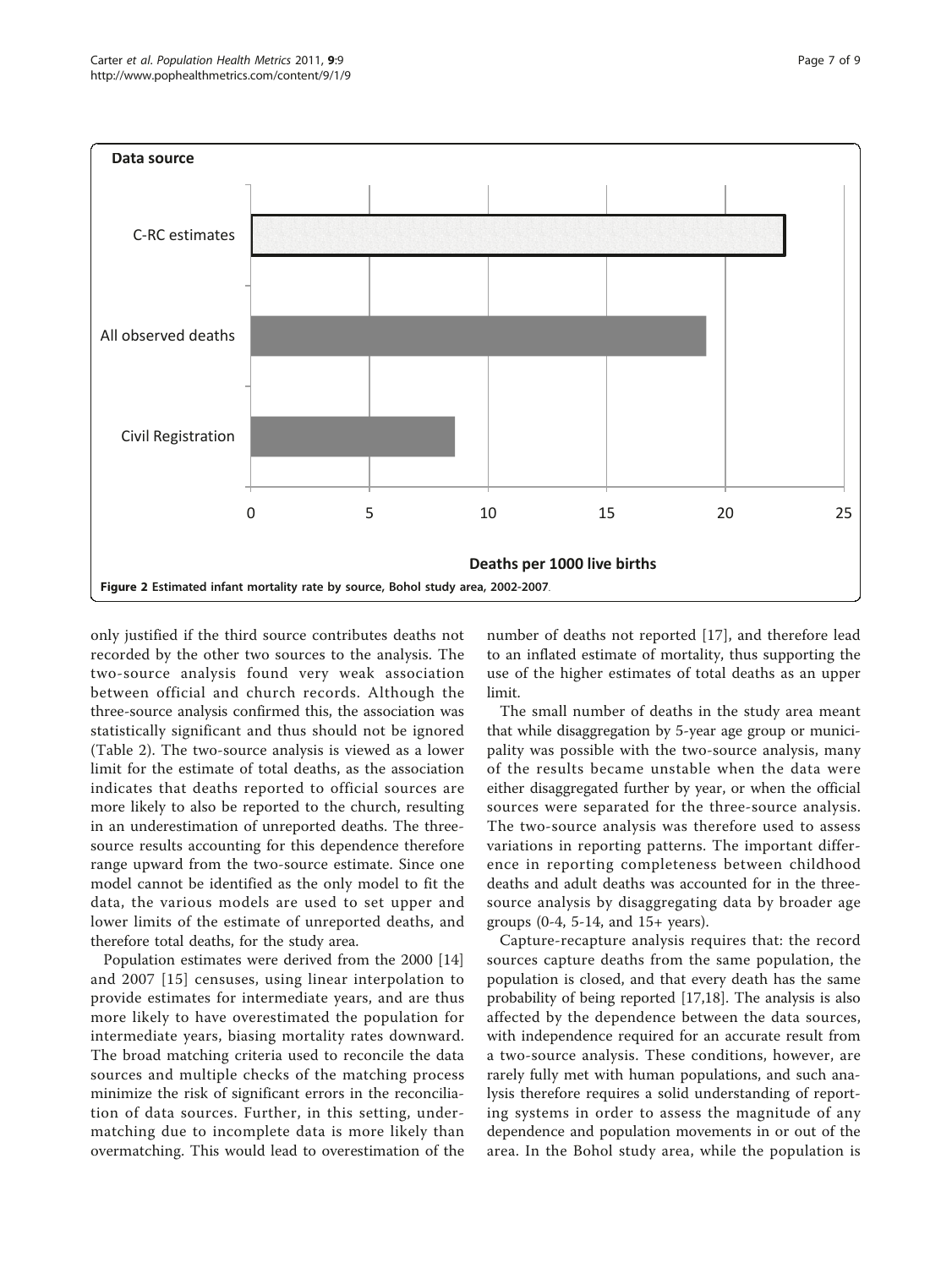<span id="page-6-0"></span>

only justified if the third source contributes deaths not recorded by the other two sources to the analysis. The two-source analysis found very weak association between official and church records. Although the three-source analysis confirmed this, the association was statistically significant and thus should not be ignored (Table [2\)](#page-4-0). The two-source analysis is viewed as a lower limit for the estimate of total deaths, as the association indicates that deaths reported to official sources are more likely to also be reported to the church, resulting in an underestimation of unreported deaths. The threesource results accounting for this dependence therefore range upward from the two-source estimate. Since one model cannot be identified as the only model to fit the data, the various models are used to set upper and lower limits of the estimate of unreported deaths, and therefore total deaths, for the study area.

Population estimates were derived from the 2000 [\[14](#page-8-0)] and 2007 [[15\]](#page-8-0) censuses, using linear interpolation to provide estimates for intermediate years, and are thus more likely to have overestimated the population for intermediate years, biasing mortality rates downward. The broad matching criteria used to reconcile the data sources and multiple checks of the matching process minimize the risk of significant errors in the reconciliation of data sources. Further, in this setting, undermatching due to incomplete data is more likely than overmatching. This would lead to overestimation of the

number of deaths not reported [[17\]](#page-8-0), and therefore lead to an inflated estimate of mortality, thus supporting the use of the higher estimates of total deaths as an upper limit.

The small number of deaths in the study area meant that while disaggregation by 5-year age group or municipality was possible with the two-source analysis, many of the results became unstable when the data were either disaggregated further by year, or when the official sources were separated for the three-source analysis. The two-source analysis was therefore used to assess variations in reporting patterns. The important difference in reporting completeness between childhood deaths and adult deaths was accounted for in the threesource analysis by disaggregating data by broader age groups (0-4, 5-14, and 15+ years).

Capture-recapture analysis requires that: the record sources capture deaths from the same population, the population is closed, and that every death has the same probability of being reported [\[17,18\]](#page-8-0). The analysis is also affected by the dependence between the data sources, with independence required for an accurate result from a two-source analysis. These conditions, however, are rarely fully met with human populations, and such analysis therefore requires a solid understanding of reporting systems in order to assess the magnitude of any dependence and population movements in or out of the area. In the Bohol study area, while the population is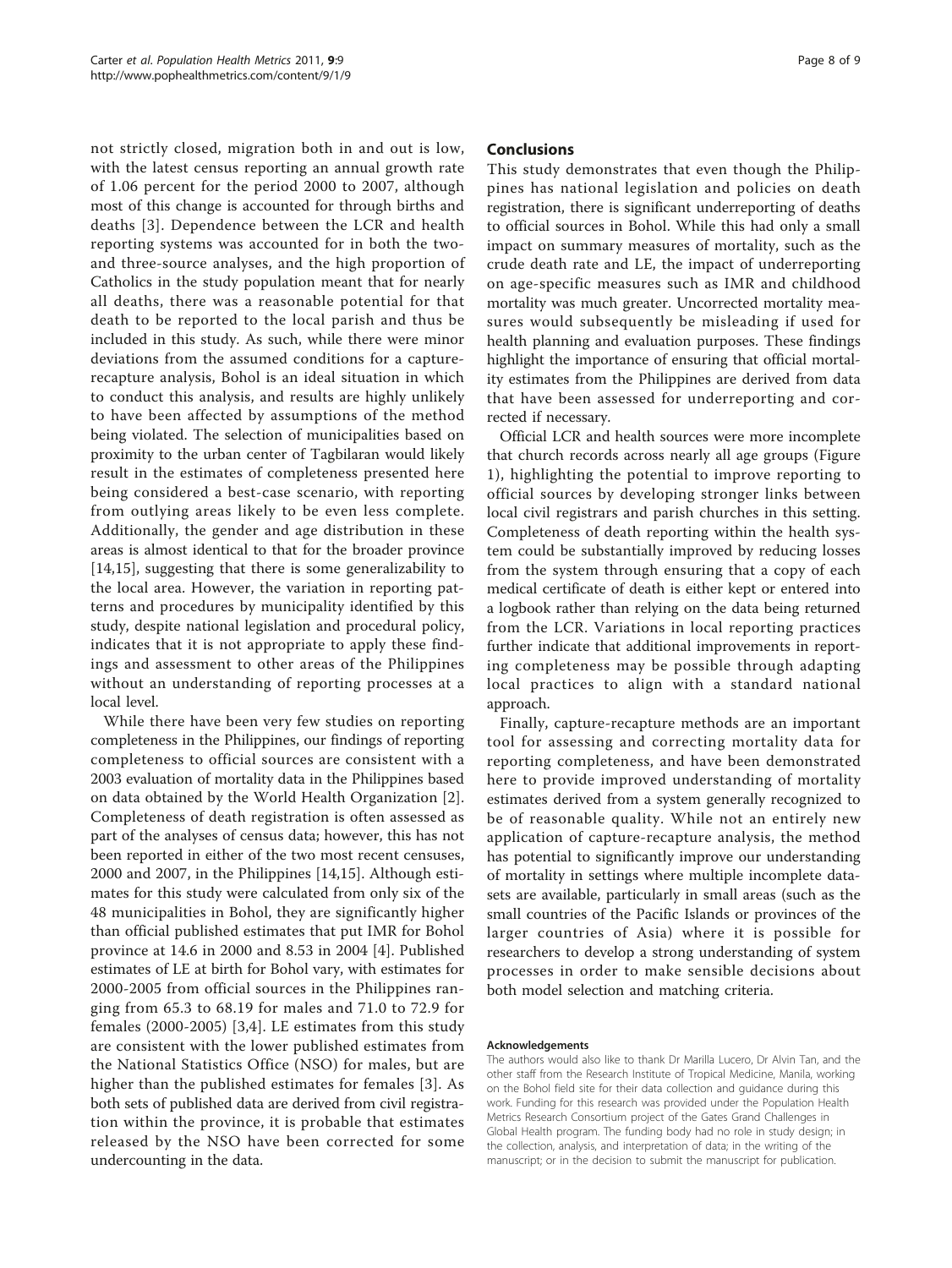not strictly closed, migration both in and out is low, with the latest census reporting an annual growth rate of 1.06 percent for the period 2000 to 2007, although most of this change is accounted for through births and deaths [[3](#page-8-0)]. Dependence between the LCR and health reporting systems was accounted for in both the twoand three-source analyses, and the high proportion of Catholics in the study population meant that for nearly all deaths, there was a reasonable potential for that death to be reported to the local parish and thus be included in this study. As such, while there were minor deviations from the assumed conditions for a capturerecapture analysis, Bohol is an ideal situation in which to conduct this analysis, and results are highly unlikely to have been affected by assumptions of the method being violated. The selection of municipalities based on proximity to the urban center of Tagbilaran would likely result in the estimates of completeness presented here being considered a best-case scenario, with reporting from outlying areas likely to be even less complete. Additionally, the gender and age distribution in these areas is almost identical to that for the broader province [[14,15](#page-8-0)], suggesting that there is some generalizability to the local area. However, the variation in reporting patterns and procedures by municipality identified by this study, despite national legislation and procedural policy, indicates that it is not appropriate to apply these findings and assessment to other areas of the Philippines without an understanding of reporting processes at a local level.

While there have been very few studies on reporting completeness in the Philippines, our findings of reporting completeness to official sources are consistent with a 2003 evaluation of mortality data in the Philippines based on data obtained by the World Health Organization [[2](#page-8-0)]. Completeness of death registration is often assessed as part of the analyses of census data; however, this has not been reported in either of the two most recent censuses, 2000 and 2007, in the Philippines [[14,15\]](#page-8-0). Although estimates for this study were calculated from only six of the 48 municipalities in Bohol, they are significantly higher than official published estimates that put IMR for Bohol province at 14.6 in 2000 and 8.53 in 2004 [\[4](#page-8-0)]. Published estimates of LE at birth for Bohol vary, with estimates for 2000-2005 from official sources in the Philippines ranging from 65.3 to 68.19 for males and 71.0 to 72.9 for females (2000-2005) [[3,4](#page-8-0)]. LE estimates from this study are consistent with the lower published estimates from the National Statistics Office (NSO) for males, but are higher than the published estimates for females [[3\]](#page-8-0). As both sets of published data are derived from civil registration within the province, it is probable that estimates released by the NSO have been corrected for some undercounting in the data.

#### Conclusions

This study demonstrates that even though the Philippines has national legislation and policies on death registration, there is significant underreporting of deaths to official sources in Bohol. While this had only a small impact on summary measures of mortality, such as the crude death rate and LE, the impact of underreporting on age-specific measures such as IMR and childhood mortality was much greater. Uncorrected mortality measures would subsequently be misleading if used for health planning and evaluation purposes. These findings highlight the importance of ensuring that official mortality estimates from the Philippines are derived from data that have been assessed for underreporting and corrected if necessary.

Official LCR and health sources were more incomplete that church records across nearly all age groups (Figure [1\)](#page-4-0), highlighting the potential to improve reporting to official sources by developing stronger links between local civil registrars and parish churches in this setting. Completeness of death reporting within the health system could be substantially improved by reducing losses from the system through ensuring that a copy of each medical certificate of death is either kept or entered into a logbook rather than relying on the data being returned from the LCR. Variations in local reporting practices further indicate that additional improvements in reporting completeness may be possible through adapting local practices to align with a standard national approach.

Finally, capture-recapture methods are an important tool for assessing and correcting mortality data for reporting completeness, and have been demonstrated here to provide improved understanding of mortality estimates derived from a system generally recognized to be of reasonable quality. While not an entirely new application of capture-recapture analysis, the method has potential to significantly improve our understanding of mortality in settings where multiple incomplete datasets are available, particularly in small areas (such as the small countries of the Pacific Islands or provinces of the larger countries of Asia) where it is possible for researchers to develop a strong understanding of system processes in order to make sensible decisions about both model selection and matching criteria.

#### Acknowledgements

The authors would also like to thank Dr Marilla Lucero, Dr Alvin Tan, and the other staff from the Research Institute of Tropical Medicine, Manila, working on the Bohol field site for their data collection and guidance during this work. Funding for this research was provided under the Population Health Metrics Research Consortium project of the Gates Grand Challenges in Global Health program. The funding body had no role in study design; in the collection, analysis, and interpretation of data; in the writing of the manuscript; or in the decision to submit the manuscript for publication.